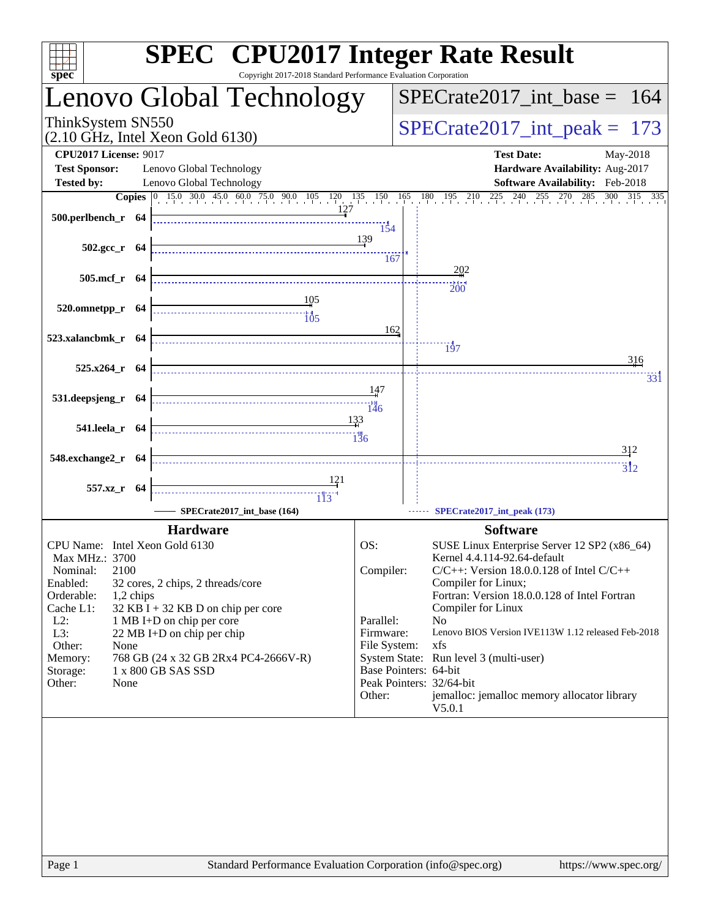| <b>SPEC<sup>®</sup></b> CPU2017 Integer Rate Result<br>Copyright 2017-2018 Standard Performance Evaluation Corporation<br>$spec^*$                              |                                             |                                                                      |                                                                                                                                                                                           |  |  |  |  |
|-----------------------------------------------------------------------------------------------------------------------------------------------------------------|---------------------------------------------|----------------------------------------------------------------------|-------------------------------------------------------------------------------------------------------------------------------------------------------------------------------------------|--|--|--|--|
| Lenovo Global Technology                                                                                                                                        |                                             |                                                                      | $SPECTate2017\_int\_base = 164$                                                                                                                                                           |  |  |  |  |
| ThinkSystem SN550<br>$(2.10 \text{ GHz}, \text{Intel Xeon Gold } 6130)$                                                                                         |                                             |                                                                      | $SPECrate2017\_int\_peak = 173$                                                                                                                                                           |  |  |  |  |
| <b>CPU2017 License: 9017</b>                                                                                                                                    |                                             |                                                                      | <b>Test Date:</b><br>May-2018                                                                                                                                                             |  |  |  |  |
| <b>Test Sponsor:</b><br>Lenovo Global Technology                                                                                                                |                                             |                                                                      | Hardware Availability: Aug-2017                                                                                                                                                           |  |  |  |  |
| <b>Tested by:</b><br>Lenovo Global Technology                                                                                                                   |                                             |                                                                      | Software Availability: Feb-2018                                                                                                                                                           |  |  |  |  |
| 500.perlbench_r 64                                                                                                                                              | 127                                         |                                                                      | <b>Copies</b> $\begin{bmatrix} 0 & 15.0 & 30.0 & 45.0 & 60.0 & 75.0 & 90.0 & 105 & 120 & 135 & 150 & 165 & 180 & 195 & 210 & 225 & 240 & 255 & 270 & 285 & 300 & 315 & 335 \end{bmatrix}$ |  |  |  |  |
| $502.\text{gcc r}$ 64                                                                                                                                           | 154<br>139<br>167                           |                                                                      |                                                                                                                                                                                           |  |  |  |  |
|                                                                                                                                                                 |                                             |                                                                      | 202                                                                                                                                                                                       |  |  |  |  |
| 505.mcf_r 64                                                                                                                                                    |                                             |                                                                      | 200                                                                                                                                                                                       |  |  |  |  |
| <u>105</u><br>520.omnetpp_r 64                                                                                                                                  |                                             |                                                                      |                                                                                                                                                                                           |  |  |  |  |
| $\begin{array}{c c c c c} \hline \text{} & \text{} & \text{} \\ \hline \text{} & \text{} & \text{} \\ \hline \text{} & \text{} & \text{} \\ \hline \end{array}$ |                                             |                                                                      |                                                                                                                                                                                           |  |  |  |  |
| 523.xalancbmk_r 64                                                                                                                                              | 162                                         |                                                                      |                                                                                                                                                                                           |  |  |  |  |
|                                                                                                                                                                 |                                             |                                                                      | $\frac{1}{97}$                                                                                                                                                                            |  |  |  |  |
| 525.x264_r 64                                                                                                                                                   |                                             |                                                                      | 316                                                                                                                                                                                       |  |  |  |  |
|                                                                                                                                                                 | 147                                         |                                                                      | 33 i                                                                                                                                                                                      |  |  |  |  |
| 531.deepsjeng_r 64                                                                                                                                              |                                             |                                                                      |                                                                                                                                                                                           |  |  |  |  |
|                                                                                                                                                                 | 133                                         |                                                                      |                                                                                                                                                                                           |  |  |  |  |
| 541.leela_r 64                                                                                                                                                  |                                             |                                                                      |                                                                                                                                                                                           |  |  |  |  |
|                                                                                                                                                                 |                                             |                                                                      | <u>3</u> 12                                                                                                                                                                               |  |  |  |  |
| 548.exchange2_r 64                                                                                                                                              |                                             |                                                                      | $\overline{31}2$                                                                                                                                                                          |  |  |  |  |
| 557.xz_r 64                                                                                                                                                     |                                             |                                                                      |                                                                                                                                                                                           |  |  |  |  |
|                                                                                                                                                                 |                                             |                                                                      |                                                                                                                                                                                           |  |  |  |  |
| SPECrate2017_int_base (164)                                                                                                                                     |                                             |                                                                      | SPECrate2017_int_peak (173)                                                                                                                                                               |  |  |  |  |
| <b>Hardware</b>                                                                                                                                                 |                                             |                                                                      | <b>Software</b>                                                                                                                                                                           |  |  |  |  |
| CPU Name: Intel Xeon Gold 6130                                                                                                                                  | OS:                                         |                                                                      | SUSE Linux Enterprise Server 12 SP2 (x86_64)                                                                                                                                              |  |  |  |  |
| Max MHz.: 3700                                                                                                                                                  |                                             |                                                                      | Kernel 4.4.114-92.64-default                                                                                                                                                              |  |  |  |  |
| 2100<br>Nominal:<br>Enabled:<br>32 cores, 2 chips, 2 threads/core                                                                                               | Compiler:                                   | $C/C++$ : Version 18.0.0.128 of Intel $C/C++$<br>Compiler for Linux; |                                                                                                                                                                                           |  |  |  |  |
| Orderable:<br>1,2 chips                                                                                                                                         |                                             | Fortran: Version 18.0.0.128 of Intel Fortran                         |                                                                                                                                                                                           |  |  |  |  |
| Cache L1:<br>$32$ KB I + 32 KB D on chip per core                                                                                                               |                                             |                                                                      | Compiler for Linux                                                                                                                                                                        |  |  |  |  |
| $L2$ :<br>1 MB I+D on chip per core<br>L3:<br>22 MB I+D on chip per chip                                                                                        | Parallel:<br>Firmware:                      |                                                                      | No<br>Lenovo BIOS Version IVE113W 1.12 released Feb-2018                                                                                                                                  |  |  |  |  |
| Other:<br>None                                                                                                                                                  | File System:                                |                                                                      | xfs                                                                                                                                                                                       |  |  |  |  |
| Memory:<br>768 GB (24 x 32 GB 2Rx4 PC4-2666V-R)                                                                                                                 |                                             |                                                                      | System State: Run level 3 (multi-user)                                                                                                                                                    |  |  |  |  |
| Storage:                                                                                                                                                        | Base Pointers: 64-bit<br>1 x 800 GB SAS SSD |                                                                      |                                                                                                                                                                                           |  |  |  |  |
| Other:<br>None                                                                                                                                                  | Other:                                      |                                                                      | Peak Pointers: 32/64-bit<br>jemalloc: jemalloc memory allocator library                                                                                                                   |  |  |  |  |
|                                                                                                                                                                 |                                             |                                                                      | V5.0.1                                                                                                                                                                                    |  |  |  |  |
|                                                                                                                                                                 |                                             |                                                                      |                                                                                                                                                                                           |  |  |  |  |
|                                                                                                                                                                 |                                             |                                                                      |                                                                                                                                                                                           |  |  |  |  |
|                                                                                                                                                                 |                                             |                                                                      |                                                                                                                                                                                           |  |  |  |  |
|                                                                                                                                                                 |                                             |                                                                      |                                                                                                                                                                                           |  |  |  |  |
|                                                                                                                                                                 |                                             |                                                                      |                                                                                                                                                                                           |  |  |  |  |
|                                                                                                                                                                 |                                             |                                                                      |                                                                                                                                                                                           |  |  |  |  |
|                                                                                                                                                                 |                                             |                                                                      |                                                                                                                                                                                           |  |  |  |  |
|                                                                                                                                                                 |                                             |                                                                      |                                                                                                                                                                                           |  |  |  |  |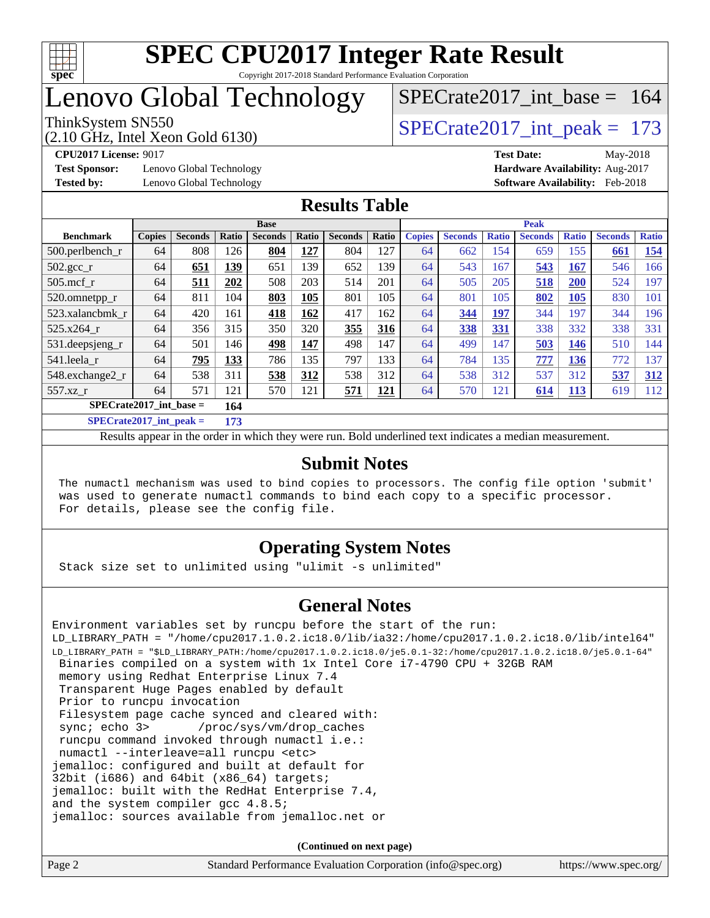

## Lenovo Global Technology

# [SPECrate2017\\_int\\_base =](http://www.spec.org/auto/cpu2017/Docs/result-fields.html#SPECrate2017intbase) 164

(2.10 GHz, Intel Xeon Gold 6130) ThinkSystem SN550<br>  $\angle Q$  10 GHz, Intel Year Gold 6130

**[Test Sponsor:](http://www.spec.org/auto/cpu2017/Docs/result-fields.html#TestSponsor)** Lenovo Global Technology **[Hardware Availability:](http://www.spec.org/auto/cpu2017/Docs/result-fields.html#HardwareAvailability)** Aug-2017 **[Tested by:](http://www.spec.org/auto/cpu2017/Docs/result-fields.html#Testedby)** Lenovo Global Technology **[Software Availability:](http://www.spec.org/auto/cpu2017/Docs/result-fields.html#SoftwareAvailability)** Feb-2018

**[CPU2017 License:](http://www.spec.org/auto/cpu2017/Docs/result-fields.html#CPU2017License)** 9017 **[Test Date:](http://www.spec.org/auto/cpu2017/Docs/result-fields.html#TestDate)** May-2018

#### **[Results Table](http://www.spec.org/auto/cpu2017/Docs/result-fields.html#ResultsTable)**

| <b>Base</b>                      |               |                |       | <b>Peak</b>    |            |                |       |               |                |              |                |              |                |              |
|----------------------------------|---------------|----------------|-------|----------------|------------|----------------|-------|---------------|----------------|--------------|----------------|--------------|----------------|--------------|
| <b>Benchmark</b>                 | <b>Copies</b> | <b>Seconds</b> | Ratio | <b>Seconds</b> | Ratio      | <b>Seconds</b> | Ratio | <b>Copies</b> | <b>Seconds</b> | <b>Ratio</b> | <b>Seconds</b> | <b>Ratio</b> | <b>Seconds</b> | <b>Ratio</b> |
| 500.perlbench_r                  | 64            | 808            | 126   | 804            | <u>127</u> | 804            | 127   | 64            | 662            | 154          | 659            | 155          | 661            | <u>154</u>   |
| $502.\text{gcc}$ _r              | 64            | 651            | 139   | 651            | 139        | 652            | 139   | 64            | 543            | 167          | 543            | 167          | 546            | 166          |
| $505$ .mcf r                     | 64            | 511            | 202   | 508            | 203        | 514            | 201   | 64            | 505            | 205          | 518            | 200          | 524            | 197          |
| 520.omnetpp_r                    | 64            | 811            | 104   | 803            | 105        | 801            | 105   | 64            | 801            | 105          | 802            | <b>105</b>   | 830            | 101          |
| 523.xalancbmk r                  | 64            | 420            | 161   | 418            | 162        | 417            | 162   | 64            | 344            | 197          | 344            | 197          | 344            | 196          |
| 525.x264 r                       | 64            | 356            | 315   | 350            | 320        | 355            | 316   | 64            | 338            | 331          | 338            | 332          | 338            | 331          |
| 531.deepsjeng_r                  | 64            | 501            | 146   | 498            | 147        | 498            | 147   | 64            | 499            | 147          | 503            | 146          | 510            | 144          |
| 541.leela r                      | 64            | <u>795</u>     | 133   | 786            | 135        | 797            | 133   | 64            | 784            | 135          | 777            | 136          | 772            | 137          |
| 548.exchange2_r                  | 64            | 538            | 311   | 538            | 312        | 538            | 312   | 64            | 538            | 312          | 537            | 312          | 537            | 312          |
| 557.xz r                         | 64            | 571            | 121   | 570            | 121        | 571            | 121   | 64            | 570            | 121          | 614            | <b>113</b>   | 619            | 112          |
| $SPECrate2017$ int base =<br>164 |               |                |       |                |            |                |       |               |                |              |                |              |                |              |
| $CDFCsoft2017 int model =$       |               |                | 172   |                |            |                |       |               |                |              |                |              |                |              |

**[SPECrate2017\\_int\\_peak =](http://www.spec.org/auto/cpu2017/Docs/result-fields.html#SPECrate2017intpeak) 173**

Results appear in the [order in which they were run](http://www.spec.org/auto/cpu2017/Docs/result-fields.html#RunOrder). Bold underlined text [indicates a median measurement](http://www.spec.org/auto/cpu2017/Docs/result-fields.html#Median).

#### **[Submit Notes](http://www.spec.org/auto/cpu2017/Docs/result-fields.html#SubmitNotes)**

 The numactl mechanism was used to bind copies to processors. The config file option 'submit' was used to generate numactl commands to bind each copy to a specific processor. For details, please see the config file.

#### **[Operating System Notes](http://www.spec.org/auto/cpu2017/Docs/result-fields.html#OperatingSystemNotes)**

Stack size set to unlimited using "ulimit -s unlimited"

#### **[General Notes](http://www.spec.org/auto/cpu2017/Docs/result-fields.html#GeneralNotes)**

Environment variables set by runcpu before the start of the run: LD\_LIBRARY\_PATH = "/home/cpu2017.1.0.2.ic18.0/lib/ia32:/home/cpu2017.1.0.2.ic18.0/lib/intel64" LD\_LIBRARY\_PATH = "\$LD\_LIBRARY\_PATH:/home/cpu2017.1.0.2.ic18.0/je5.0.1-32:/home/cpu2017.1.0.2.ic18.0/je5.0.1-64" Binaries compiled on a system with 1x Intel Core i7-4790 CPU + 32GB RAM memory using Redhat Enterprise Linux 7.4 Transparent Huge Pages enabled by default Prior to runcpu invocation Filesystem page cache synced and cleared with: sync; echo 3> /proc/sys/vm/drop\_caches runcpu command invoked through numactl i.e.: numactl --interleave=all runcpu <etc> jemalloc: configured and built at default for 32bit (i686) and 64bit (x86\_64) targets; jemalloc: built with the RedHat Enterprise 7.4, and the system compiler gcc 4.8.5; jemalloc: sources available from jemalloc.net or

| Page 2 | Standard Performance Evaluation Corporation (info@spec.org) | https://www.spec.org/ |
|--------|-------------------------------------------------------------|-----------------------|
|        |                                                             |                       |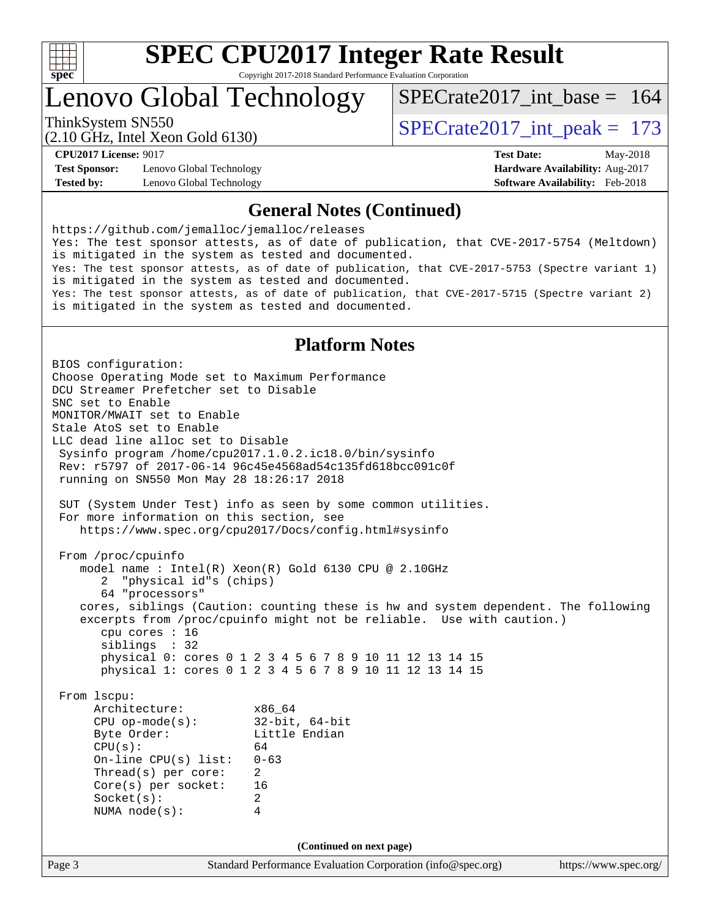

# **[SPEC CPU2017 Integer Rate Result](http://www.spec.org/auto/cpu2017/Docs/result-fields.html#SPECCPU2017IntegerRateResult)**

Copyright 2017-2018 Standard Performance Evaluation Corporation

Lenovo Global Technology

ThinkSystem SN550<br>  $\angle Q$  10 GHz, Intel Year Gold 6130  $SPECrate2017\_int\_base = 164$ 

(2.10 GHz, Intel Xeon Gold 6130)

**[Test Sponsor:](http://www.spec.org/auto/cpu2017/Docs/result-fields.html#TestSponsor)** Lenovo Global Technology **[Hardware Availability:](http://www.spec.org/auto/cpu2017/Docs/result-fields.html#HardwareAvailability)** Aug-2017 **[Tested by:](http://www.spec.org/auto/cpu2017/Docs/result-fields.html#Testedby)** Lenovo Global Technology **[Software Availability:](http://www.spec.org/auto/cpu2017/Docs/result-fields.html#SoftwareAvailability)** Feb-2018

**[CPU2017 License:](http://www.spec.org/auto/cpu2017/Docs/result-fields.html#CPU2017License)** 9017 **[Test Date:](http://www.spec.org/auto/cpu2017/Docs/result-fields.html#TestDate)** May-2018

#### **[General Notes \(Continued\)](http://www.spec.org/auto/cpu2017/Docs/result-fields.html#GeneralNotes)**

<https://github.com/jemalloc/jemalloc/releases> Yes: The test sponsor attests, as of date of publication, that CVE-2017-5754 (Meltdown) is mitigated in the system as tested and documented. Yes: The test sponsor attests, as of date of publication, that CVE-2017-5753 (Spectre variant 1) is mitigated in the system as tested and documented. Yes: The test sponsor attests, as of date of publication, that CVE-2017-5715 (Spectre variant 2) is mitigated in the system as tested and documented.

#### **[Platform Notes](http://www.spec.org/auto/cpu2017/Docs/result-fields.html#PlatformNotes)**

Page 3 Standard Performance Evaluation Corporation [\(info@spec.org\)](mailto:info@spec.org) <https://www.spec.org/> BIOS configuration: Choose Operating Mode set to Maximum Performance DCU Streamer Prefetcher set to Disable SNC set to Enable MONITOR/MWAIT set to Enable Stale AtoS set to Enable LLC dead line alloc set to Disable Sysinfo program /home/cpu2017.1.0.2.ic18.0/bin/sysinfo Rev: r5797 of 2017-06-14 96c45e4568ad54c135fd618bcc091c0f running on SN550 Mon May 28 18:26:17 2018 SUT (System Under Test) info as seen by some common utilities. For more information on this section, see <https://www.spec.org/cpu2017/Docs/config.html#sysinfo> From /proc/cpuinfo model name : Intel(R) Xeon(R) Gold 6130 CPU @ 2.10GHz 2 "physical id"s (chips) 64 "processors" cores, siblings (Caution: counting these is hw and system dependent. The following excerpts from /proc/cpuinfo might not be reliable. Use with caution.) cpu cores : 16 siblings : 32 physical 0: cores 0 1 2 3 4 5 6 7 8 9 10 11 12 13 14 15 physical 1: cores 0 1 2 3 4 5 6 7 8 9 10 11 12 13 14 15 From lscpu: Architecture: x86\_64 CPU op-mode(s): 32-bit, 64-bit Little Endian  $CPU(s):$  64 On-line CPU(s) list: 0-63 Thread(s) per core: 2 Core(s) per socket: 16 Socket(s): 2 NUMA node(s): 4 **(Continued on next page)**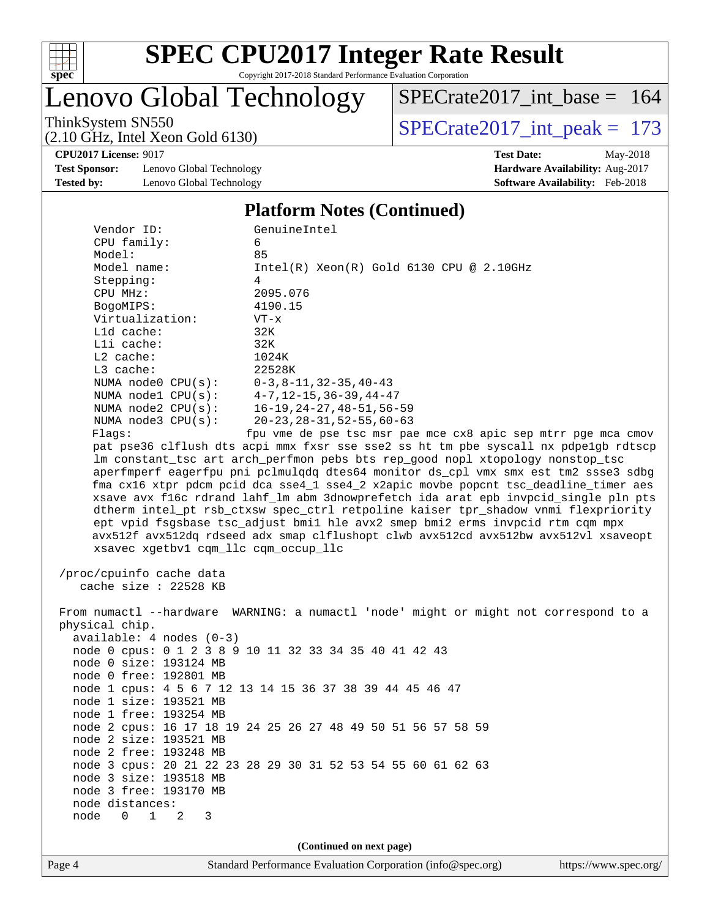

Lenovo Global Technology

[SPECrate2017\\_int\\_base =](http://www.spec.org/auto/cpu2017/Docs/result-fields.html#SPECrate2017intbase) 164

(2.10 GHz, Intel Xeon Gold 6130)

ThinkSystem SN550<br>(2.10 GHz, Intel Xeon Gold 6130) [SPECrate2017\\_int\\_peak =](http://www.spec.org/auto/cpu2017/Docs/result-fields.html#SPECrate2017intpeak) 173

**[CPU2017 License:](http://www.spec.org/auto/cpu2017/Docs/result-fields.html#CPU2017License)** 9017 **[Test Date:](http://www.spec.org/auto/cpu2017/Docs/result-fields.html#TestDate)** May-2018

**[Test Sponsor:](http://www.spec.org/auto/cpu2017/Docs/result-fields.html#TestSponsor)** Lenovo Global Technology **[Hardware Availability:](http://www.spec.org/auto/cpu2017/Docs/result-fields.html#HardwareAvailability)** Aug-2017 **[Tested by:](http://www.spec.org/auto/cpu2017/Docs/result-fields.html#Testedby)** Lenovo Global Technology **[Software Availability:](http://www.spec.org/auto/cpu2017/Docs/result-fields.html#SoftwareAvailability)** Feb-2018

#### **[Platform Notes \(Continued\)](http://www.spec.org/auto/cpu2017/Docs/result-fields.html#PlatformNotes)**

| Vendor ID:                                          | GenuineIntel                                                                         |
|-----------------------------------------------------|--------------------------------------------------------------------------------------|
| CPU family:                                         | 6                                                                                    |
| Model:                                              | 85                                                                                   |
| Model name:                                         | $Intel(R)$ Xeon $(R)$ Gold 6130 CPU @ 2.10GHz                                        |
| Stepping:                                           | $\overline{4}$                                                                       |
| CPU MHz:                                            | 2095.076                                                                             |
| BogoMIPS:                                           | 4190.15                                                                              |
| Virtualization:                                     | $VT - x$                                                                             |
| L1d cache:                                          | 32K                                                                                  |
| Lli cache:                                          | 32K                                                                                  |
| L2 cache:                                           | 1024K                                                                                |
| L3 cache:                                           | 22528K                                                                               |
| NUMA node0 CPU(s):                                  | $0-3, 8-11, 32-35, 40-43$                                                            |
| NUMA $node1$ $CPU(s):$                              | $4-7, 12-15, 36-39, 44-47$                                                           |
| NUMA $node2$ $CPU(s):$                              | 16-19, 24-27, 48-51, 56-59                                                           |
| NUMA $node3$ $CPU(s)$ :                             | $20 - 23, 28 - 31, 52 - 55, 60 - 63$                                                 |
| Flags:                                              | fpu vme de pse tsc msr pae mce cx8 apic sep mtrr pge mca cmov                        |
|                                                     | pat pse36 clflush dts acpi mmx fxsr sse sse2 ss ht tm pbe syscall nx pdpelgb rdtscp  |
|                                                     | lm constant_tsc art arch_perfmon pebs bts rep_good nopl xtopology nonstop_tsc        |
|                                                     | aperfmperf eagerfpu pni pclmulqdq dtes64 monitor ds_cpl vmx smx est tm2 ssse3 sdbg   |
|                                                     | fma cx16 xtpr pdcm pcid dca sse4_1 sse4_2 x2apic movbe popcnt tsc_deadline_timer aes |
|                                                     | xsave avx f16c rdrand lahf_lm abm 3dnowprefetch ida arat epb invpcid_single pln pts  |
|                                                     | dtherm intel_pt rsb_ctxsw spec_ctrl retpoline kaiser tpr_shadow vnmi flexpriority    |
|                                                     | ept vpid fsgsbase tsc_adjust bmil hle avx2 smep bmi2 erms invpcid rtm cqm mpx        |
|                                                     | avx512f avx512dq rdseed adx smap clflushopt clwb avx512cd avx512bw avx512vl xsaveopt |
| xsavec xgetbvl cqm_llc cqm_occup_llc                |                                                                                      |
|                                                     |                                                                                      |
| /proc/cpuinfo cache data<br>cache size : $22528$ KB |                                                                                      |
|                                                     |                                                                                      |
|                                                     | From numactl --hardware WARNING: a numactl 'node' might or might not correspond to a |
| physical chip.                                      |                                                                                      |
| $available: 4 nodes (0-3)$                          |                                                                                      |
|                                                     | node 0 cpus: 0 1 2 3 8 9 10 11 32 33 34 35 40 41 42 43                               |
| node 0 size: 193124 MB                              |                                                                                      |
| node 0 free: 192801 MB                              |                                                                                      |
|                                                     | node 1 cpus: 4 5 6 7 12 13 14 15 36 37 38 39 44 45 46 47                             |
| node 1 size: 193521 MB                              |                                                                                      |
| node 1 free: 193254 MB                              |                                                                                      |
|                                                     |                                                                                      |
| node 2 size: 193521 MB                              | node 2 cpus: 16 17 18 19 24 25 26 27 48 49 50 51 56 57 58 59                         |
|                                                     |                                                                                      |

 node 2 free: 193248 MB node 3 cpus: 20 21 22 23 28 29 30 31 52 53 54 55 60 61 62 63 node 3 size: 193518 MB

 node 3 free: 193170 MB node distances: node 0 1 2 3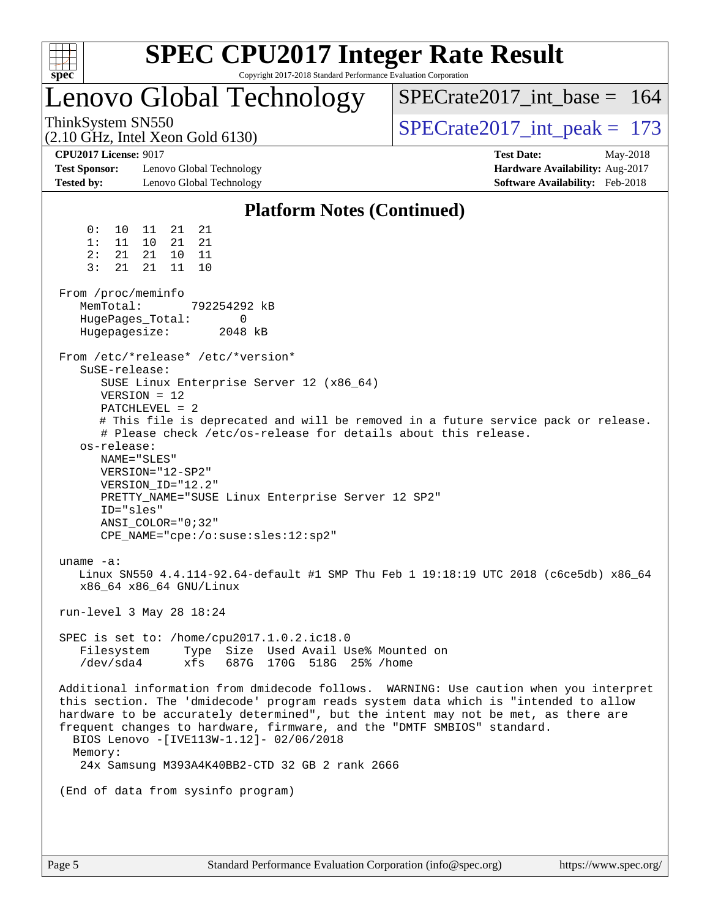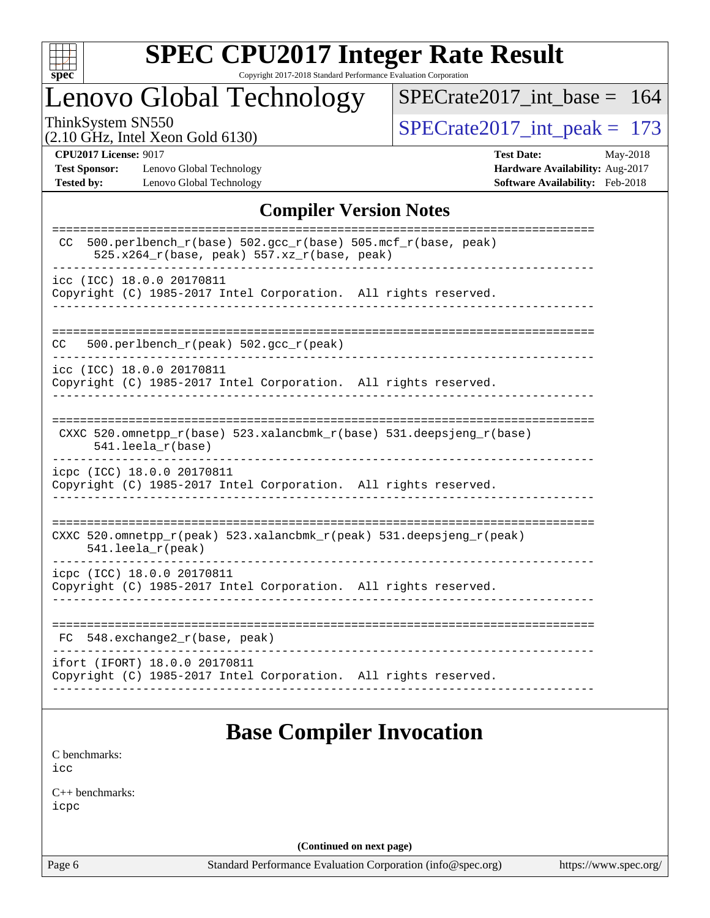

# **[SPEC CPU2017 Integer Rate Result](http://www.spec.org/auto/cpu2017/Docs/result-fields.html#SPECCPU2017IntegerRateResult)**

Copyright 2017-2018 Standard Performance Evaluation Corporation

## Lenovo Global Technology

[SPECrate2017\\_int\\_base =](http://www.spec.org/auto/cpu2017/Docs/result-fields.html#SPECrate2017intbase) 164

(2.10 GHz, Intel Xeon Gold 6130)

ThinkSystem SN550<br>  $(2.10 \text{ GHz})$  Intel Xeon Gold 6130)

**[Test Sponsor:](http://www.spec.org/auto/cpu2017/Docs/result-fields.html#TestSponsor)** Lenovo Global Technology **[Hardware Availability:](http://www.spec.org/auto/cpu2017/Docs/result-fields.html#HardwareAvailability)** Aug-2017 **[Tested by:](http://www.spec.org/auto/cpu2017/Docs/result-fields.html#Testedby)** Lenovo Global Technology **[Software Availability:](http://www.spec.org/auto/cpu2017/Docs/result-fields.html#SoftwareAvailability)** Feb-2018

**[CPU2017 License:](http://www.spec.org/auto/cpu2017/Docs/result-fields.html#CPU2017License)** 9017 **[Test Date:](http://www.spec.org/auto/cpu2017/Docs/result-fields.html#TestDate)** May-2018

#### **[Compiler Version Notes](http://www.spec.org/auto/cpu2017/Docs/result-fields.html#CompilerVersionNotes)**

| 500.perlbench $r(base)$ 502.qcc $r(base)$ 505.mcf $r(base, peak)$<br><sub>CC</sub><br>525.x264_r(base, peak) 557.xz_r(base, peak) |
|-----------------------------------------------------------------------------------------------------------------------------------|
| icc (ICC) 18.0.0 20170811<br>Copyright (C) 1985-2017 Intel Corporation. All rights reserved.                                      |
| 500.perlbench_r(peak) 502.gcc_r(peak)<br>CC                                                                                       |
| icc (ICC) 18.0.0 20170811<br>Copyright (C) 1985-2017 Intel Corporation. All rights reserved.                                      |
| CXXC 520.omnetpp_r(base) 523.xalancbmk_r(base) 531.deepsjeng_r(base)<br>$541.$ leela $r(base)$                                    |
| icpc (ICC) 18.0.0 20170811<br>Copyright (C) 1985-2017 Intel Corporation. All rights reserved.                                     |
| CXXC 520.omnetpp_r(peak) 523.xalancbmk_r(peak) 531.deepsjeng_r(peak)<br>$541.$ leela r(peak)                                      |
| icpc (ICC) 18.0.0 20170811<br>Copyright (C) 1985-2017 Intel Corporation. All rights reserved.                                     |
| 548.exchange2_r(base, peak)<br>FC                                                                                                 |
| ifort (IFORT) 18.0.0 20170811<br>Copyright (C) 1985-2017 Intel Corporation. All rights reserved.                                  |

## **[Base Compiler Invocation](http://www.spec.org/auto/cpu2017/Docs/result-fields.html#BaseCompilerInvocation)**

[C benchmarks](http://www.spec.org/auto/cpu2017/Docs/result-fields.html#Cbenchmarks): [icc](http://www.spec.org/cpu2017/results/res2018q2/cpu2017-20180612-06968.flags.html#user_CCbase_intel_icc_18.0_66fc1ee009f7361af1fbd72ca7dcefbb700085f36577c54f309893dd4ec40d12360134090235512931783d35fd58c0460139e722d5067c5574d8eaf2b3e37e92)

[C++ benchmarks:](http://www.spec.org/auto/cpu2017/Docs/result-fields.html#CXXbenchmarks) [icpc](http://www.spec.org/cpu2017/results/res2018q2/cpu2017-20180612-06968.flags.html#user_CXXbase_intel_icpc_18.0_c510b6838c7f56d33e37e94d029a35b4a7bccf4766a728ee175e80a419847e808290a9b78be685c44ab727ea267ec2f070ec5dc83b407c0218cded6866a35d07)

**(Continued on next page)**

Page 6 Standard Performance Evaluation Corporation [\(info@spec.org\)](mailto:info@spec.org) <https://www.spec.org/>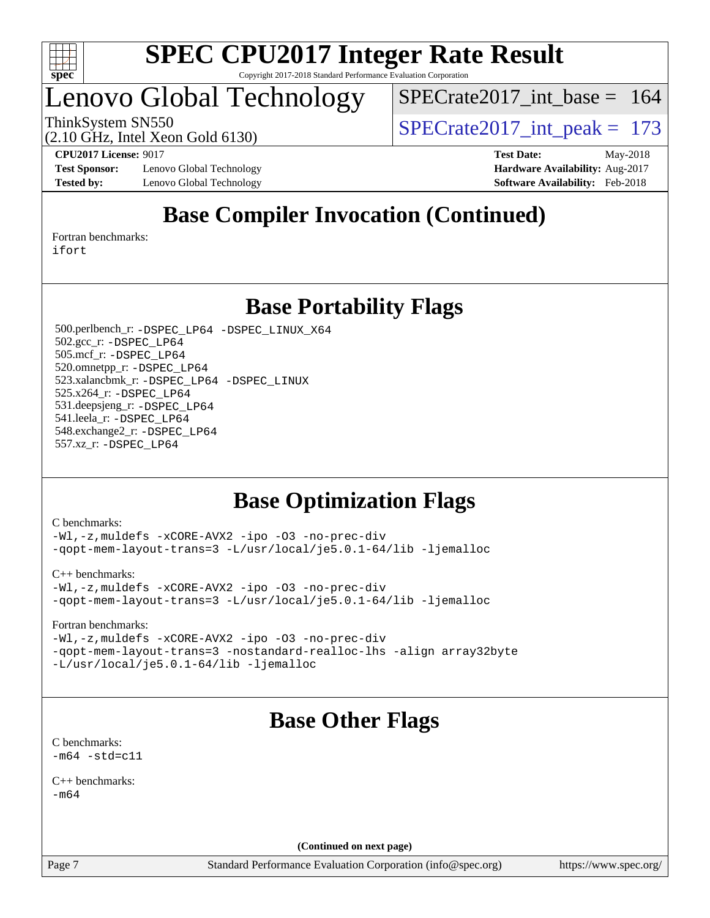

## Lenovo Global Technology

 $SPECrate2017\_int\_base = 164$ 

(2.10 GHz, Intel Xeon Gold 6130)

ThinkSystem SN550<br>  $\frac{173 \text{ N}}{210 \text{ GHz}}$  Intel Year Gald 6130)

**[Test Sponsor:](http://www.spec.org/auto/cpu2017/Docs/result-fields.html#TestSponsor)** Lenovo Global Technology **[Hardware Availability:](http://www.spec.org/auto/cpu2017/Docs/result-fields.html#HardwareAvailability)** Aug-2017 **[Tested by:](http://www.spec.org/auto/cpu2017/Docs/result-fields.html#Testedby)** Lenovo Global Technology **[Software Availability:](http://www.spec.org/auto/cpu2017/Docs/result-fields.html#SoftwareAvailability)** Feb-2018

**[CPU2017 License:](http://www.spec.org/auto/cpu2017/Docs/result-fields.html#CPU2017License)** 9017 **[Test Date:](http://www.spec.org/auto/cpu2017/Docs/result-fields.html#TestDate)** May-2018

## **[Base Compiler Invocation \(Continued\)](http://www.spec.org/auto/cpu2017/Docs/result-fields.html#BaseCompilerInvocation)**

[Fortran benchmarks](http://www.spec.org/auto/cpu2017/Docs/result-fields.html#Fortranbenchmarks): [ifort](http://www.spec.org/cpu2017/results/res2018q2/cpu2017-20180612-06968.flags.html#user_FCbase_intel_ifort_18.0_8111460550e3ca792625aed983ce982f94888b8b503583aa7ba2b8303487b4d8a21a13e7191a45c5fd58ff318f48f9492884d4413fa793fd88dd292cad7027ca)

**[Base Portability Flags](http://www.spec.org/auto/cpu2017/Docs/result-fields.html#BasePortabilityFlags)**

 500.perlbench\_r: [-DSPEC\\_LP64](http://www.spec.org/cpu2017/results/res2018q2/cpu2017-20180612-06968.flags.html#b500.perlbench_r_basePORTABILITY_DSPEC_LP64) [-DSPEC\\_LINUX\\_X64](http://www.spec.org/cpu2017/results/res2018q2/cpu2017-20180612-06968.flags.html#b500.perlbench_r_baseCPORTABILITY_DSPEC_LINUX_X64) 502.gcc\_r: [-DSPEC\\_LP64](http://www.spec.org/cpu2017/results/res2018q2/cpu2017-20180612-06968.flags.html#suite_basePORTABILITY502_gcc_r_DSPEC_LP64) 505.mcf\_r: [-DSPEC\\_LP64](http://www.spec.org/cpu2017/results/res2018q2/cpu2017-20180612-06968.flags.html#suite_basePORTABILITY505_mcf_r_DSPEC_LP64) 520.omnetpp\_r: [-DSPEC\\_LP64](http://www.spec.org/cpu2017/results/res2018q2/cpu2017-20180612-06968.flags.html#suite_basePORTABILITY520_omnetpp_r_DSPEC_LP64) 523.xalancbmk\_r: [-DSPEC\\_LP64](http://www.spec.org/cpu2017/results/res2018q2/cpu2017-20180612-06968.flags.html#suite_basePORTABILITY523_xalancbmk_r_DSPEC_LP64) [-DSPEC\\_LINUX](http://www.spec.org/cpu2017/results/res2018q2/cpu2017-20180612-06968.flags.html#b523.xalancbmk_r_baseCXXPORTABILITY_DSPEC_LINUX) 525.x264\_r: [-DSPEC\\_LP64](http://www.spec.org/cpu2017/results/res2018q2/cpu2017-20180612-06968.flags.html#suite_basePORTABILITY525_x264_r_DSPEC_LP64) 531.deepsjeng\_r: [-DSPEC\\_LP64](http://www.spec.org/cpu2017/results/res2018q2/cpu2017-20180612-06968.flags.html#suite_basePORTABILITY531_deepsjeng_r_DSPEC_LP64) 541.leela\_r: [-DSPEC\\_LP64](http://www.spec.org/cpu2017/results/res2018q2/cpu2017-20180612-06968.flags.html#suite_basePORTABILITY541_leela_r_DSPEC_LP64) 548.exchange2\_r: [-DSPEC\\_LP64](http://www.spec.org/cpu2017/results/res2018q2/cpu2017-20180612-06968.flags.html#suite_basePORTABILITY548_exchange2_r_DSPEC_LP64) 557.xz\_r: [-DSPEC\\_LP64](http://www.spec.org/cpu2017/results/res2018q2/cpu2017-20180612-06968.flags.html#suite_basePORTABILITY557_xz_r_DSPEC_LP64)

## **[Base Optimization Flags](http://www.spec.org/auto/cpu2017/Docs/result-fields.html#BaseOptimizationFlags)**

[C benchmarks](http://www.spec.org/auto/cpu2017/Docs/result-fields.html#Cbenchmarks):

[-Wl,-z,muldefs](http://www.spec.org/cpu2017/results/res2018q2/cpu2017-20180612-06968.flags.html#user_CCbase_link_force_multiple1_b4cbdb97b34bdee9ceefcfe54f4c8ea74255f0b02a4b23e853cdb0e18eb4525ac79b5a88067c842dd0ee6996c24547a27a4b99331201badda8798ef8a743f577) [-xCORE-AVX2](http://www.spec.org/cpu2017/results/res2018q2/cpu2017-20180612-06968.flags.html#user_CCbase_f-xCORE-AVX2) [-ipo](http://www.spec.org/cpu2017/results/res2018q2/cpu2017-20180612-06968.flags.html#user_CCbase_f-ipo) [-O3](http://www.spec.org/cpu2017/results/res2018q2/cpu2017-20180612-06968.flags.html#user_CCbase_f-O3) [-no-prec-div](http://www.spec.org/cpu2017/results/res2018q2/cpu2017-20180612-06968.flags.html#user_CCbase_f-no-prec-div) [-qopt-mem-layout-trans=3](http://www.spec.org/cpu2017/results/res2018q2/cpu2017-20180612-06968.flags.html#user_CCbase_f-qopt-mem-layout-trans_de80db37974c74b1f0e20d883f0b675c88c3b01e9d123adea9b28688d64333345fb62bc4a798493513fdb68f60282f9a726aa07f478b2f7113531aecce732043) [-L/usr/local/je5.0.1-64/lib](http://www.spec.org/cpu2017/results/res2018q2/cpu2017-20180612-06968.flags.html#user_CCbase_jemalloc_link_path64_4b10a636b7bce113509b17f3bd0d6226c5fb2346b9178c2d0232c14f04ab830f976640479e5c33dc2bcbbdad86ecfb6634cbbd4418746f06f368b512fced5394) [-ljemalloc](http://www.spec.org/cpu2017/results/res2018q2/cpu2017-20180612-06968.flags.html#user_CCbase_jemalloc_link_lib_d1249b907c500fa1c0672f44f562e3d0f79738ae9e3c4a9c376d49f265a04b9c99b167ecedbf6711b3085be911c67ff61f150a17b3472be731631ba4d0471706)

[C++ benchmarks:](http://www.spec.org/auto/cpu2017/Docs/result-fields.html#CXXbenchmarks)

[-Wl,-z,muldefs](http://www.spec.org/cpu2017/results/res2018q2/cpu2017-20180612-06968.flags.html#user_CXXbase_link_force_multiple1_b4cbdb97b34bdee9ceefcfe54f4c8ea74255f0b02a4b23e853cdb0e18eb4525ac79b5a88067c842dd0ee6996c24547a27a4b99331201badda8798ef8a743f577) [-xCORE-AVX2](http://www.spec.org/cpu2017/results/res2018q2/cpu2017-20180612-06968.flags.html#user_CXXbase_f-xCORE-AVX2) [-ipo](http://www.spec.org/cpu2017/results/res2018q2/cpu2017-20180612-06968.flags.html#user_CXXbase_f-ipo) [-O3](http://www.spec.org/cpu2017/results/res2018q2/cpu2017-20180612-06968.flags.html#user_CXXbase_f-O3) [-no-prec-div](http://www.spec.org/cpu2017/results/res2018q2/cpu2017-20180612-06968.flags.html#user_CXXbase_f-no-prec-div) [-qopt-mem-layout-trans=3](http://www.spec.org/cpu2017/results/res2018q2/cpu2017-20180612-06968.flags.html#user_CXXbase_f-qopt-mem-layout-trans_de80db37974c74b1f0e20d883f0b675c88c3b01e9d123adea9b28688d64333345fb62bc4a798493513fdb68f60282f9a726aa07f478b2f7113531aecce732043) [-L/usr/local/je5.0.1-64/lib](http://www.spec.org/cpu2017/results/res2018q2/cpu2017-20180612-06968.flags.html#user_CXXbase_jemalloc_link_path64_4b10a636b7bce113509b17f3bd0d6226c5fb2346b9178c2d0232c14f04ab830f976640479e5c33dc2bcbbdad86ecfb6634cbbd4418746f06f368b512fced5394) [-ljemalloc](http://www.spec.org/cpu2017/results/res2018q2/cpu2017-20180612-06968.flags.html#user_CXXbase_jemalloc_link_lib_d1249b907c500fa1c0672f44f562e3d0f79738ae9e3c4a9c376d49f265a04b9c99b167ecedbf6711b3085be911c67ff61f150a17b3472be731631ba4d0471706)

[Fortran benchmarks](http://www.spec.org/auto/cpu2017/Docs/result-fields.html#Fortranbenchmarks):

[-Wl,-z,muldefs](http://www.spec.org/cpu2017/results/res2018q2/cpu2017-20180612-06968.flags.html#user_FCbase_link_force_multiple1_b4cbdb97b34bdee9ceefcfe54f4c8ea74255f0b02a4b23e853cdb0e18eb4525ac79b5a88067c842dd0ee6996c24547a27a4b99331201badda8798ef8a743f577) [-xCORE-AVX2](http://www.spec.org/cpu2017/results/res2018q2/cpu2017-20180612-06968.flags.html#user_FCbase_f-xCORE-AVX2) [-ipo](http://www.spec.org/cpu2017/results/res2018q2/cpu2017-20180612-06968.flags.html#user_FCbase_f-ipo) [-O3](http://www.spec.org/cpu2017/results/res2018q2/cpu2017-20180612-06968.flags.html#user_FCbase_f-O3) [-no-prec-div](http://www.spec.org/cpu2017/results/res2018q2/cpu2017-20180612-06968.flags.html#user_FCbase_f-no-prec-div) [-qopt-mem-layout-trans=3](http://www.spec.org/cpu2017/results/res2018q2/cpu2017-20180612-06968.flags.html#user_FCbase_f-qopt-mem-layout-trans_de80db37974c74b1f0e20d883f0b675c88c3b01e9d123adea9b28688d64333345fb62bc4a798493513fdb68f60282f9a726aa07f478b2f7113531aecce732043) [-nostandard-realloc-lhs](http://www.spec.org/cpu2017/results/res2018q2/cpu2017-20180612-06968.flags.html#user_FCbase_f_2003_std_realloc_82b4557e90729c0f113870c07e44d33d6f5a304b4f63d4c15d2d0f1fab99f5daaed73bdb9275d9ae411527f28b936061aa8b9c8f2d63842963b95c9dd6426b8a) [-align array32byte](http://www.spec.org/cpu2017/results/res2018q2/cpu2017-20180612-06968.flags.html#user_FCbase_align_array32byte_b982fe038af199962ba9a80c053b8342c548c85b40b8e86eb3cc33dee0d7986a4af373ac2d51c3f7cf710a18d62fdce2948f201cd044323541f22fc0fffc51b6) [-L/usr/local/je5.0.1-64/lib](http://www.spec.org/cpu2017/results/res2018q2/cpu2017-20180612-06968.flags.html#user_FCbase_jemalloc_link_path64_4b10a636b7bce113509b17f3bd0d6226c5fb2346b9178c2d0232c14f04ab830f976640479e5c33dc2bcbbdad86ecfb6634cbbd4418746f06f368b512fced5394) [-ljemalloc](http://www.spec.org/cpu2017/results/res2018q2/cpu2017-20180612-06968.flags.html#user_FCbase_jemalloc_link_lib_d1249b907c500fa1c0672f44f562e3d0f79738ae9e3c4a9c376d49f265a04b9c99b167ecedbf6711b3085be911c67ff61f150a17b3472be731631ba4d0471706)

## **[Base Other Flags](http://www.spec.org/auto/cpu2017/Docs/result-fields.html#BaseOtherFlags)**

[C benchmarks](http://www.spec.org/auto/cpu2017/Docs/result-fields.html#Cbenchmarks):  $-m64 - std= c11$  $-m64 - std= c11$ 

[C++ benchmarks:](http://www.spec.org/auto/cpu2017/Docs/result-fields.html#CXXbenchmarks)  $-m64$ 

**(Continued on next page)**

Page 7 Standard Performance Evaluation Corporation [\(info@spec.org\)](mailto:info@spec.org) <https://www.spec.org/>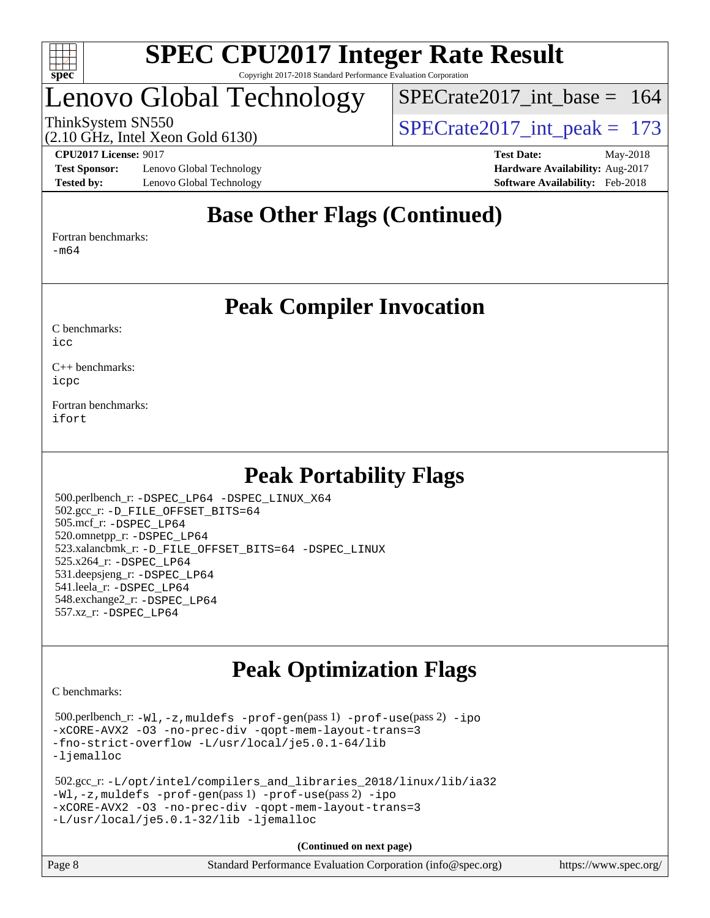

## Lenovo Global Technology

[SPECrate2017\\_int\\_base =](http://www.spec.org/auto/cpu2017/Docs/result-fields.html#SPECrate2017intbase) 164

(2.10 GHz, Intel Xeon Gold 6130)

ThinkSystem SN550<br>  $\angle Q$  10 GHz, Intel Year Gold 6130

**[Test Sponsor:](http://www.spec.org/auto/cpu2017/Docs/result-fields.html#TestSponsor)** Lenovo Global Technology **[Hardware Availability:](http://www.spec.org/auto/cpu2017/Docs/result-fields.html#HardwareAvailability)** Aug-2017 **[Tested by:](http://www.spec.org/auto/cpu2017/Docs/result-fields.html#Testedby)** Lenovo Global Technology **[Software Availability:](http://www.spec.org/auto/cpu2017/Docs/result-fields.html#SoftwareAvailability)** Feb-2018

**[CPU2017 License:](http://www.spec.org/auto/cpu2017/Docs/result-fields.html#CPU2017License)** 9017 **[Test Date:](http://www.spec.org/auto/cpu2017/Docs/result-fields.html#TestDate)** May-2018

## **[Base Other Flags \(Continued\)](http://www.spec.org/auto/cpu2017/Docs/result-fields.html#BaseOtherFlags)**

[Fortran benchmarks](http://www.spec.org/auto/cpu2017/Docs/result-fields.html#Fortranbenchmarks):

[-m64](http://www.spec.org/cpu2017/results/res2018q2/cpu2017-20180612-06968.flags.html#user_FCbase_intel_intel64_18.0_af43caccfc8ded86e7699f2159af6efc7655f51387b94da716254467f3c01020a5059329e2569e4053f409e7c9202a7efc638f7a6d1ffb3f52dea4a3e31d82ab)

### **[Peak Compiler Invocation](http://www.spec.org/auto/cpu2017/Docs/result-fields.html#PeakCompilerInvocation)**

[C benchmarks](http://www.spec.org/auto/cpu2017/Docs/result-fields.html#Cbenchmarks):  $i$ cc

[C++ benchmarks:](http://www.spec.org/auto/cpu2017/Docs/result-fields.html#CXXbenchmarks) [icpc](http://www.spec.org/cpu2017/results/res2018q2/cpu2017-20180612-06968.flags.html#user_CXXpeak_intel_icpc_18.0_c510b6838c7f56d33e37e94d029a35b4a7bccf4766a728ee175e80a419847e808290a9b78be685c44ab727ea267ec2f070ec5dc83b407c0218cded6866a35d07)

[Fortran benchmarks](http://www.spec.org/auto/cpu2017/Docs/result-fields.html#Fortranbenchmarks): [ifort](http://www.spec.org/cpu2017/results/res2018q2/cpu2017-20180612-06968.flags.html#user_FCpeak_intel_ifort_18.0_8111460550e3ca792625aed983ce982f94888b8b503583aa7ba2b8303487b4d8a21a13e7191a45c5fd58ff318f48f9492884d4413fa793fd88dd292cad7027ca)

## **[Peak Portability Flags](http://www.spec.org/auto/cpu2017/Docs/result-fields.html#PeakPortabilityFlags)**

 500.perlbench\_r: [-DSPEC\\_LP64](http://www.spec.org/cpu2017/results/res2018q2/cpu2017-20180612-06968.flags.html#b500.perlbench_r_peakPORTABILITY_DSPEC_LP64) [-DSPEC\\_LINUX\\_X64](http://www.spec.org/cpu2017/results/res2018q2/cpu2017-20180612-06968.flags.html#b500.perlbench_r_peakCPORTABILITY_DSPEC_LINUX_X64) 502.gcc\_r: [-D\\_FILE\\_OFFSET\\_BITS=64](http://www.spec.org/cpu2017/results/res2018q2/cpu2017-20180612-06968.flags.html#user_peakPORTABILITY502_gcc_r_file_offset_bits_64_5ae949a99b284ddf4e95728d47cb0843d81b2eb0e18bdfe74bbf0f61d0b064f4bda2f10ea5eb90e1dcab0e84dbc592acfc5018bc955c18609f94ddb8d550002c) 505.mcf\_r: [-DSPEC\\_LP64](http://www.spec.org/cpu2017/results/res2018q2/cpu2017-20180612-06968.flags.html#suite_peakPORTABILITY505_mcf_r_DSPEC_LP64) 520.omnetpp\_r: [-DSPEC\\_LP64](http://www.spec.org/cpu2017/results/res2018q2/cpu2017-20180612-06968.flags.html#suite_peakPORTABILITY520_omnetpp_r_DSPEC_LP64) 523.xalancbmk\_r: [-D\\_FILE\\_OFFSET\\_BITS=64](http://www.spec.org/cpu2017/results/res2018q2/cpu2017-20180612-06968.flags.html#user_peakPORTABILITY523_xalancbmk_r_file_offset_bits_64_5ae949a99b284ddf4e95728d47cb0843d81b2eb0e18bdfe74bbf0f61d0b064f4bda2f10ea5eb90e1dcab0e84dbc592acfc5018bc955c18609f94ddb8d550002c) [-DSPEC\\_LINUX](http://www.spec.org/cpu2017/results/res2018q2/cpu2017-20180612-06968.flags.html#b523.xalancbmk_r_peakCXXPORTABILITY_DSPEC_LINUX) 525.x264\_r: [-DSPEC\\_LP64](http://www.spec.org/cpu2017/results/res2018q2/cpu2017-20180612-06968.flags.html#suite_peakPORTABILITY525_x264_r_DSPEC_LP64) 531.deepsjeng\_r: [-DSPEC\\_LP64](http://www.spec.org/cpu2017/results/res2018q2/cpu2017-20180612-06968.flags.html#suite_peakPORTABILITY531_deepsjeng_r_DSPEC_LP64) 541.leela\_r: [-DSPEC\\_LP64](http://www.spec.org/cpu2017/results/res2018q2/cpu2017-20180612-06968.flags.html#suite_peakPORTABILITY541_leela_r_DSPEC_LP64) 548.exchange2\_r: [-DSPEC\\_LP64](http://www.spec.org/cpu2017/results/res2018q2/cpu2017-20180612-06968.flags.html#suite_peakPORTABILITY548_exchange2_r_DSPEC_LP64) 557.xz\_r: [-DSPEC\\_LP64](http://www.spec.org/cpu2017/results/res2018q2/cpu2017-20180612-06968.flags.html#suite_peakPORTABILITY557_xz_r_DSPEC_LP64)

## **[Peak Optimization Flags](http://www.spec.org/auto/cpu2017/Docs/result-fields.html#PeakOptimizationFlags)**

[C benchmarks](http://www.spec.org/auto/cpu2017/Docs/result-fields.html#Cbenchmarks):

 500.perlbench\_r: [-Wl,-z,muldefs](http://www.spec.org/cpu2017/results/res2018q2/cpu2017-20180612-06968.flags.html#user_peakEXTRA_LDFLAGS500_perlbench_r_link_force_multiple1_b4cbdb97b34bdee9ceefcfe54f4c8ea74255f0b02a4b23e853cdb0e18eb4525ac79b5a88067c842dd0ee6996c24547a27a4b99331201badda8798ef8a743f577) [-prof-gen](http://www.spec.org/cpu2017/results/res2018q2/cpu2017-20180612-06968.flags.html#user_peakPASS1_CFLAGSPASS1_LDFLAGS500_perlbench_r_prof_gen_5aa4926d6013ddb2a31985c654b3eb18169fc0c6952a63635c234f711e6e63dd76e94ad52365559451ec499a2cdb89e4dc58ba4c67ef54ca681ffbe1461d6b36)(pass 1) [-prof-use](http://www.spec.org/cpu2017/results/res2018q2/cpu2017-20180612-06968.flags.html#user_peakPASS2_CFLAGSPASS2_LDFLAGS500_perlbench_r_prof_use_1a21ceae95f36a2b53c25747139a6c16ca95bd9def2a207b4f0849963b97e94f5260e30a0c64f4bb623698870e679ca08317ef8150905d41bd88c6f78df73f19)(pass 2) [-ipo](http://www.spec.org/cpu2017/results/res2018q2/cpu2017-20180612-06968.flags.html#user_peakPASS1_COPTIMIZEPASS2_COPTIMIZE500_perlbench_r_f-ipo) [-xCORE-AVX2](http://www.spec.org/cpu2017/results/res2018q2/cpu2017-20180612-06968.flags.html#user_peakPASS2_COPTIMIZE500_perlbench_r_f-xCORE-AVX2) [-O3](http://www.spec.org/cpu2017/results/res2018q2/cpu2017-20180612-06968.flags.html#user_peakPASS1_COPTIMIZEPASS2_COPTIMIZE500_perlbench_r_f-O3) [-no-prec-div](http://www.spec.org/cpu2017/results/res2018q2/cpu2017-20180612-06968.flags.html#user_peakPASS1_COPTIMIZEPASS2_COPTIMIZE500_perlbench_r_f-no-prec-div) [-qopt-mem-layout-trans=3](http://www.spec.org/cpu2017/results/res2018q2/cpu2017-20180612-06968.flags.html#user_peakPASS1_COPTIMIZEPASS2_COPTIMIZE500_perlbench_r_f-qopt-mem-layout-trans_de80db37974c74b1f0e20d883f0b675c88c3b01e9d123adea9b28688d64333345fb62bc4a798493513fdb68f60282f9a726aa07f478b2f7113531aecce732043) [-fno-strict-overflow](http://www.spec.org/cpu2017/results/res2018q2/cpu2017-20180612-06968.flags.html#user_peakEXTRA_OPTIMIZE500_perlbench_r_f-fno-strict-overflow) [-L/usr/local/je5.0.1-64/lib](http://www.spec.org/cpu2017/results/res2018q2/cpu2017-20180612-06968.flags.html#user_peakEXTRA_LIBS500_perlbench_r_jemalloc_link_path64_4b10a636b7bce113509b17f3bd0d6226c5fb2346b9178c2d0232c14f04ab830f976640479e5c33dc2bcbbdad86ecfb6634cbbd4418746f06f368b512fced5394) [-ljemalloc](http://www.spec.org/cpu2017/results/res2018q2/cpu2017-20180612-06968.flags.html#user_peakEXTRA_LIBS500_perlbench_r_jemalloc_link_lib_d1249b907c500fa1c0672f44f562e3d0f79738ae9e3c4a9c376d49f265a04b9c99b167ecedbf6711b3085be911c67ff61f150a17b3472be731631ba4d0471706)

```
 502.gcc_r: -L/opt/intel/compilers_and_libraries_2018/linux/lib/ia32
-Wl,-z,muldefs -prof-gen(pass 1) -prof-use(pass 2) -ipo
-xCORE-AVX2 -O3 -no-prec-div -qopt-mem-layout-trans=3
-L/usr/local/je5.0.1-32/lib -ljemalloc
```

| Page 8 | Standard Performance Evaluation Corporation (info@spec.org) | https://www.spec.org/ |
|--------|-------------------------------------------------------------|-----------------------|
|--------|-------------------------------------------------------------|-----------------------|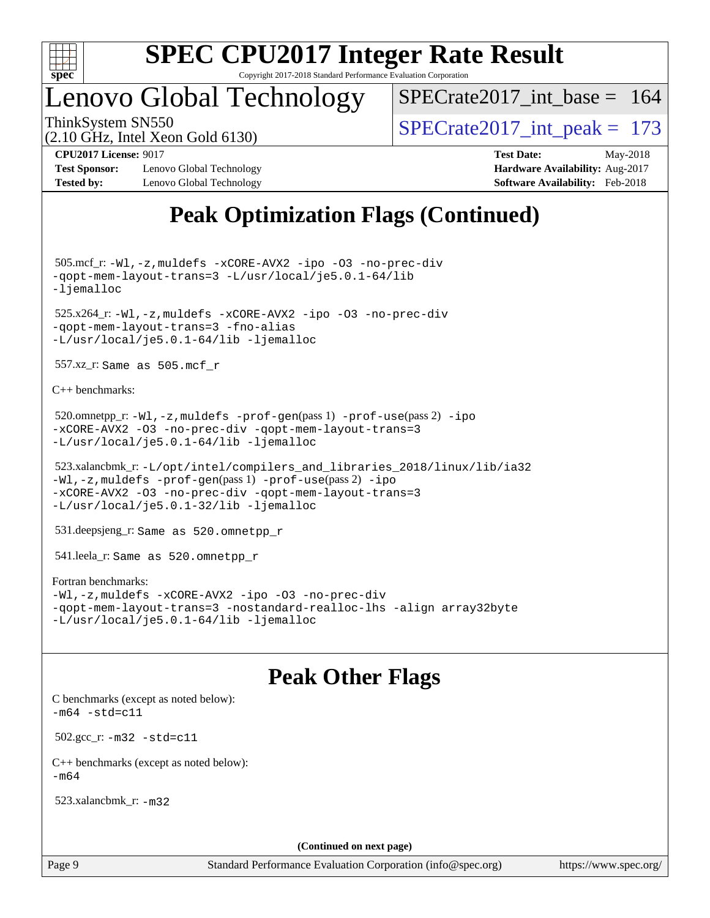

## Lenovo Global Technology

 $SPECrate2017\_int\_base = 164$ 

(2.10 GHz, Intel Xeon Gold 6130)

ThinkSystem SN550<br>  $\angle Q$  10 GHz, Intel Year Gold 6130

**[Test Sponsor:](http://www.spec.org/auto/cpu2017/Docs/result-fields.html#TestSponsor)** Lenovo Global Technology **[Hardware Availability:](http://www.spec.org/auto/cpu2017/Docs/result-fields.html#HardwareAvailability)** Aug-2017 **[Tested by:](http://www.spec.org/auto/cpu2017/Docs/result-fields.html#Testedby)** Lenovo Global Technology **[Software Availability:](http://www.spec.org/auto/cpu2017/Docs/result-fields.html#SoftwareAvailability)** Feb-2018

**[CPU2017 License:](http://www.spec.org/auto/cpu2017/Docs/result-fields.html#CPU2017License)** 9017 **[Test Date:](http://www.spec.org/auto/cpu2017/Docs/result-fields.html#TestDate)** May-2018

## **[Peak Optimization Flags \(Continued\)](http://www.spec.org/auto/cpu2017/Docs/result-fields.html#PeakOptimizationFlags)**

 505.mcf\_r: [-Wl,-z,muldefs](http://www.spec.org/cpu2017/results/res2018q2/cpu2017-20180612-06968.flags.html#user_peakEXTRA_LDFLAGS505_mcf_r_link_force_multiple1_b4cbdb97b34bdee9ceefcfe54f4c8ea74255f0b02a4b23e853cdb0e18eb4525ac79b5a88067c842dd0ee6996c24547a27a4b99331201badda8798ef8a743f577) [-xCORE-AVX2](http://www.spec.org/cpu2017/results/res2018q2/cpu2017-20180612-06968.flags.html#user_peakCOPTIMIZE505_mcf_r_f-xCORE-AVX2) [-ipo](http://www.spec.org/cpu2017/results/res2018q2/cpu2017-20180612-06968.flags.html#user_peakCOPTIMIZE505_mcf_r_f-ipo) [-O3](http://www.spec.org/cpu2017/results/res2018q2/cpu2017-20180612-06968.flags.html#user_peakCOPTIMIZE505_mcf_r_f-O3) [-no-prec-div](http://www.spec.org/cpu2017/results/res2018q2/cpu2017-20180612-06968.flags.html#user_peakCOPTIMIZE505_mcf_r_f-no-prec-div) [-qopt-mem-layout-trans=3](http://www.spec.org/cpu2017/results/res2018q2/cpu2017-20180612-06968.flags.html#user_peakCOPTIMIZE505_mcf_r_f-qopt-mem-layout-trans_de80db37974c74b1f0e20d883f0b675c88c3b01e9d123adea9b28688d64333345fb62bc4a798493513fdb68f60282f9a726aa07f478b2f7113531aecce732043) [-L/usr/local/je5.0.1-64/lib](http://www.spec.org/cpu2017/results/res2018q2/cpu2017-20180612-06968.flags.html#user_peakEXTRA_LIBS505_mcf_r_jemalloc_link_path64_4b10a636b7bce113509b17f3bd0d6226c5fb2346b9178c2d0232c14f04ab830f976640479e5c33dc2bcbbdad86ecfb6634cbbd4418746f06f368b512fced5394) [-ljemalloc](http://www.spec.org/cpu2017/results/res2018q2/cpu2017-20180612-06968.flags.html#user_peakEXTRA_LIBS505_mcf_r_jemalloc_link_lib_d1249b907c500fa1c0672f44f562e3d0f79738ae9e3c4a9c376d49f265a04b9c99b167ecedbf6711b3085be911c67ff61f150a17b3472be731631ba4d0471706)

 525.x264\_r: [-Wl,-z,muldefs](http://www.spec.org/cpu2017/results/res2018q2/cpu2017-20180612-06968.flags.html#user_peakEXTRA_LDFLAGS525_x264_r_link_force_multiple1_b4cbdb97b34bdee9ceefcfe54f4c8ea74255f0b02a4b23e853cdb0e18eb4525ac79b5a88067c842dd0ee6996c24547a27a4b99331201badda8798ef8a743f577) [-xCORE-AVX2](http://www.spec.org/cpu2017/results/res2018q2/cpu2017-20180612-06968.flags.html#user_peakCOPTIMIZE525_x264_r_f-xCORE-AVX2) [-ipo](http://www.spec.org/cpu2017/results/res2018q2/cpu2017-20180612-06968.flags.html#user_peakCOPTIMIZE525_x264_r_f-ipo) [-O3](http://www.spec.org/cpu2017/results/res2018q2/cpu2017-20180612-06968.flags.html#user_peakCOPTIMIZE525_x264_r_f-O3) [-no-prec-div](http://www.spec.org/cpu2017/results/res2018q2/cpu2017-20180612-06968.flags.html#user_peakCOPTIMIZE525_x264_r_f-no-prec-div) [-qopt-mem-layout-trans=3](http://www.spec.org/cpu2017/results/res2018q2/cpu2017-20180612-06968.flags.html#user_peakCOPTIMIZE525_x264_r_f-qopt-mem-layout-trans_de80db37974c74b1f0e20d883f0b675c88c3b01e9d123adea9b28688d64333345fb62bc4a798493513fdb68f60282f9a726aa07f478b2f7113531aecce732043) [-fno-alias](http://www.spec.org/cpu2017/results/res2018q2/cpu2017-20180612-06968.flags.html#user_peakEXTRA_OPTIMIZE525_x264_r_f-no-alias_77dbac10d91cbfe898fbf4a29d1b29b694089caa623bdd1baccc9957d4edbe8d106c0b357e2748a65b44fc9e83d78098bb898077f3fe92f9faf24f7bd4a07ed7) [-L/usr/local/je5.0.1-64/lib](http://www.spec.org/cpu2017/results/res2018q2/cpu2017-20180612-06968.flags.html#user_peakEXTRA_LIBS525_x264_r_jemalloc_link_path64_4b10a636b7bce113509b17f3bd0d6226c5fb2346b9178c2d0232c14f04ab830f976640479e5c33dc2bcbbdad86ecfb6634cbbd4418746f06f368b512fced5394) [-ljemalloc](http://www.spec.org/cpu2017/results/res2018q2/cpu2017-20180612-06968.flags.html#user_peakEXTRA_LIBS525_x264_r_jemalloc_link_lib_d1249b907c500fa1c0672f44f562e3d0f79738ae9e3c4a9c376d49f265a04b9c99b167ecedbf6711b3085be911c67ff61f150a17b3472be731631ba4d0471706)

557.xz\_r: Same as 505.mcf\_r

[C++ benchmarks:](http://www.spec.org/auto/cpu2017/Docs/result-fields.html#CXXbenchmarks)

```
520.omnetpp_r:-Wl-prof-use-ipo
-xCORE-AVX2 -O3 -no-prec-div -qopt-mem-layout-trans=3
-L/usr/local/je5.0.1-64/lib -ljemalloc
```

```
 523.xalancbmk_r: -L/opt/intel/compilers_and_libraries_2018/linux/lib/ia32
-Wl,-z,muldefs -prof-gen(pass 1) -prof-use(pass 2) -ipo
-xCORE-AVX2 -O3 -no-prec-div -qopt-mem-layout-trans=3
-L/usr/local/je5.0.1-32/lib -ljemalloc
```
531.deepsjeng\_r: Same as 520.omnetpp\_r

541.leela\_r: Same as 520.omnetpp\_r

#### [Fortran benchmarks](http://www.spec.org/auto/cpu2017/Docs/result-fields.html#Fortranbenchmarks):

```
-Wl,-z,muldefs -xCORE-AVX2 -ipo -O3 -no-prec-div
-qopt-mem-layout-trans=3 -nostandard-realloc-lhs -align array32byte
-L/usr/local/je5.0.1-64/lib -ljemalloc
```
### **[Peak Other Flags](http://www.spec.org/auto/cpu2017/Docs/result-fields.html#PeakOtherFlags)**

[C benchmarks \(except as noted below\)](http://www.spec.org/auto/cpu2017/Docs/result-fields.html#Cbenchmarksexceptasnotedbelow):  $-m64 - std= c11$  $-m64 - std= c11$  502.gcc\_r: [-m32](http://www.spec.org/cpu2017/results/res2018q2/cpu2017-20180612-06968.flags.html#user_peakCCLD502_gcc_r_intel_ia32_18.0_2666f1173eb60787016b673bfe1358e27016ef7649ea4884b7bc6187fd89dc221d14632e22638cde1c647a518de97358ab15d4ad098ee4e19a8b28d0c25e14bf) [-std=c11](http://www.spec.org/cpu2017/results/res2018q2/cpu2017-20180612-06968.flags.html#user_peakCCLD502_gcc_r_intel_compiler_c11_mode_0e1c27790398a4642dfca32ffe6c27b5796f9c2d2676156f2e42c9c44eaad0c049b1cdb667a270c34d979996257aeb8fc440bfb01818dbc9357bd9d174cb8524) [C++ benchmarks \(except as noted below\):](http://www.spec.org/auto/cpu2017/Docs/result-fields.html#CXXbenchmarksexceptasnotedbelow)  $-m64$ 

523.xalancbmk\_r: [-m32](http://www.spec.org/cpu2017/results/res2018q2/cpu2017-20180612-06968.flags.html#user_peakCXXLD523_xalancbmk_r_intel_ia32_18.0_2666f1173eb60787016b673bfe1358e27016ef7649ea4884b7bc6187fd89dc221d14632e22638cde1c647a518de97358ab15d4ad098ee4e19a8b28d0c25e14bf)